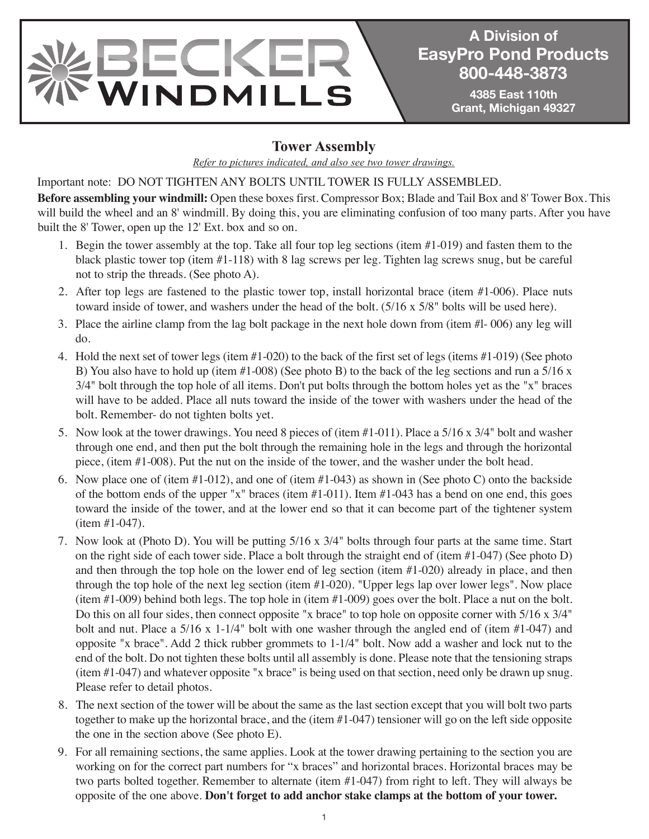

**A Division of A Division of EasyPro Pond Products EasyPro Pond Products 800-448-3873 800-448-3873**

> **4385 East 110th 4385 East 110th Grant, Michigan 49327 Grant, Michigan 49327**

#### **Tower Assembly**

*Refer to pictures indicated, and also see two tower drawings.*

Important note: DO NOT TIGHTEN ANY BOLTS UNTIL TOWER IS FULLY ASSEMBLED.

**Before assembling your windmill:** Open these boxes first. Compressor Box; Blade and Tail Box and 8' Tower Box. This will build the wheel and an 8' windmill. By doing this, you are eliminating confusion of too many parts. After you have built the 8' Tower, open up the 12' Ext. box and so on.

- 1. Begin the tower assembly at the top. Take all four top leg sections (item #1-019) and fasten them to the black plastic tower top (item #1-118) with 8 lag screws per leg. Tighten lag screws snug, but be careful not to strip the threads. (See photo A).
- 2. After top legs are fastened to the plastic tower top, install horizontal brace (item #1-006). Place nuts toward inside of tower, and washers under the head of the bolt. (5/16 x 5/8" bolts will be used here).
- 3. Place the airline clamp from the lag bolt package in the next hole down from (item #l- 006) any leg will do.
- 4. Hold the next set of tower legs (item #1-020) to the back of the first set of legs (items #1-019) (See photo B) You also have to hold up (item  $#1-008$ ) (See photo B) to the back of the leg sections and run a  $5/16 \text{ x}$ 3/4" bolt through the top hole of all items. Don't put bolts through the bottom holes yet as the "x" braces will have to be added. Place all nuts toward the inside of the tower with washers under the head of the bolt. Remember- do not tighten bolts yet.
- 5. Now look at the tower drawings. You need 8 pieces of (item #1-011). Place a 5/16 x 3/4" bolt and washer through one end, and then put the bolt through the remaining hole in the legs and through the horizontal piece, (item #1-008). Put the nut on the inside of the tower, and the washer under the bolt head.
- 6. Now place one of (item #1-012), and one of (item #1-043) as shown in (See photo C) onto the backside of the bottom ends of the upper "x" braces (item #1-011). Item #1-043 has a bend on one end, this goes toward the inside of the tower, and at the lower end so that it can become part of the tightener system (item #1-047).
- 7. Now look at (Photo D). You will be putting 5/16 x 3/4" bolts through four parts at the same time. Start on the right side of each tower side. Place a bolt through the straight end of (item #1-047) (See photo D) and then through the top hole on the lower end of leg section (item #1-020) already in place, and then through the top hole of the next leg section (item #1-020). "Upper legs lap over lower legs". Now place (item #1-009) behind both legs. The top hole in (item #1-009) goes over the bolt. Place a nut on the bolt. Do this on all four sides, then connect opposite "x brace" to top hole on opposite corner with 5/16 x 3/4" bolt and nut. Place a 5/16 x 1-1/4" bolt with one washer through the angled end of (item #1-047) and opposite "x brace". Add 2 thick rubber grommets to 1-1/4" bolt. Now add a washer and lock nut to the end of the bolt. Do not tighten these bolts until all assembly is done. Please note that the tensioning straps (item #1-047) and whatever opposite "x brace" is being used on that section, need only be drawn up snug. Please refer to detail photos.
- 8. The next section of the tower will be about the same as the last section except that you will bolt two parts together to make up the horizontal brace, and the (item #1-047) tensioner will go on the left side opposite the one in the section above (See photo E).
- 9. For all remaining sections, the same applies. Look at the tower drawing pertaining to the section you are working on for the correct part numbers for "x braces" and horizontal braces. Horizontal braces may be two parts bolted together. Remember to alternate (item #1-047) from right to left. They will always be opposite of the one above. **Don't forget to add anchor stake clamps at the bottom of your tower.**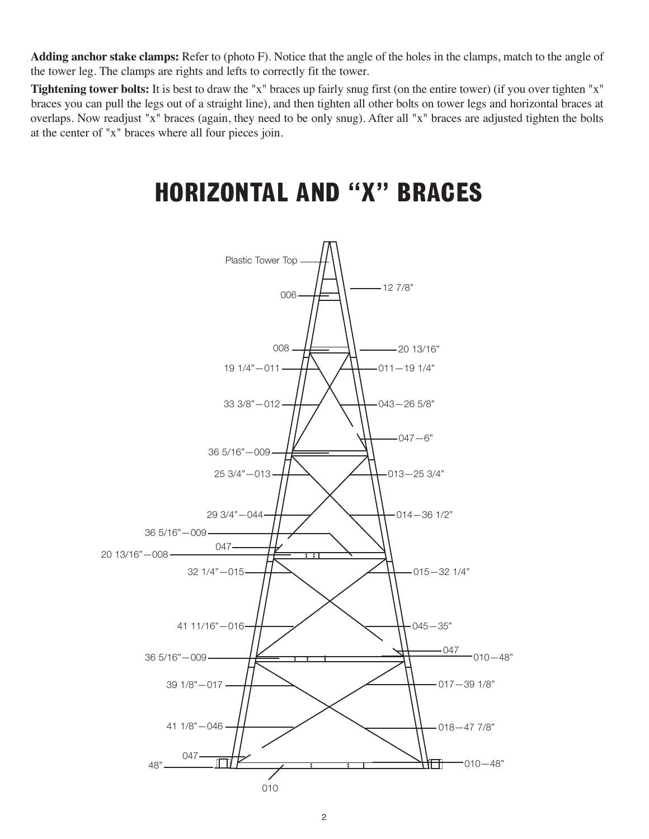**Adding anchor stake clamps:** Refer to (photo F). Notice that the angle of the holes in the clamps, match to the angle of the tower leg. The clamps are rights and lefts to correctly fit the tower.

**Tightening tower bolts:** It is best to draw the "x" braces up fairly snug first (on the entire tower) (if you over tighten "x" braces you can pull the legs out of a straight line), and then tighten all other bolts on tower legs and horizontal braces at overlaps. Now readjust "x" braces (again, they need to be only snug). After all "x" braces are adjusted tighten the bolts at the center of "x" braces where all four pieces join.

### **HORIZONTAL AND "X" BRACES**

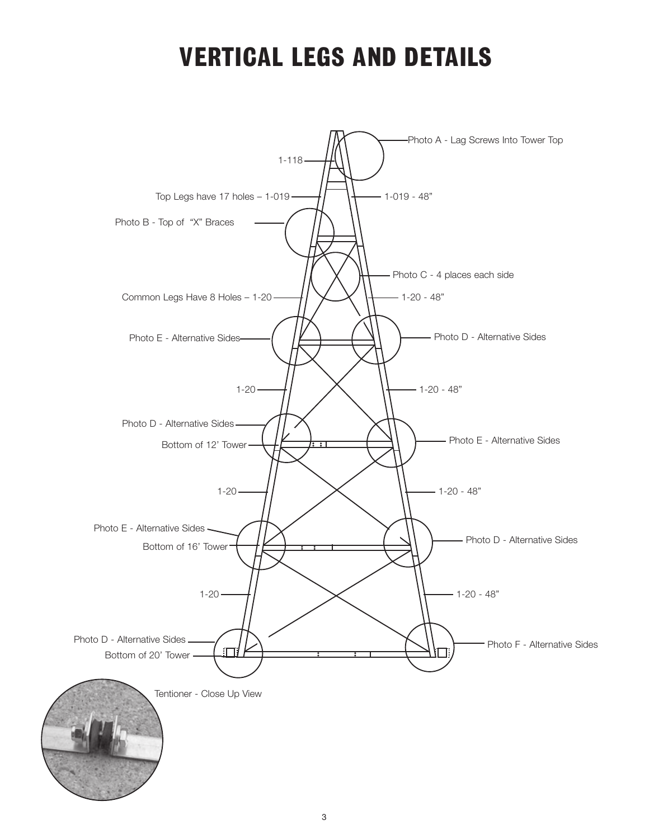### **VERTICAL LEGS AND DETAILS**

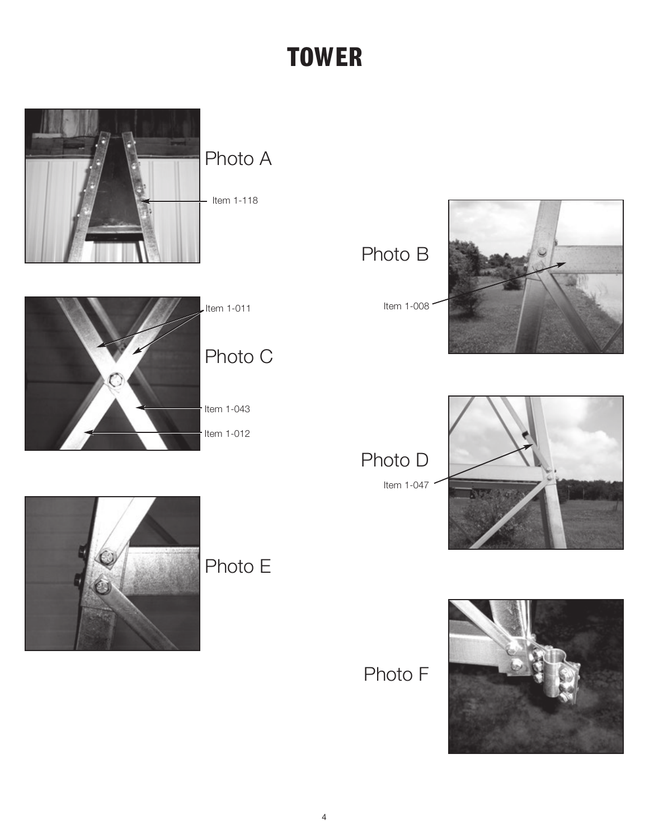# **TOWER**



Item 1-011

Photo C

Item  $1-043$ 

Item 1-012



Item 1-008



Photo D Item 1-047





Photo F

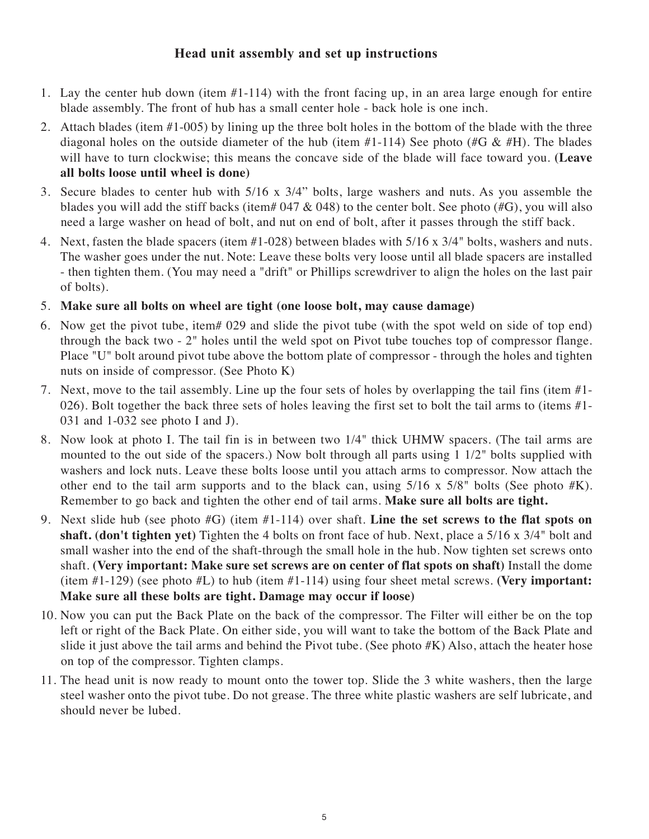#### **Head unit assembly and set up instructions**

- 1. Lay the center hub down (item #1-114) with the front facing up, in an area large enough for entire blade assembly. The front of hub has a small center hole - back hole is one inch.
- 2. Attach blades (item #1-005) by lining up the three bolt holes in the bottom of the blade with the three diagonal holes on the outside diameter of the hub (item #1-114) See photo (#G & #H). The blades will have to turn clockwise; this means the concave side of the blade will face toward you. **(Leave all bolts loose until wheel is done)**
- 3. Secure blades to center hub with 5/16 x 3/4" bolts, large washers and nuts. As you assemble the blades you will add the stiff backs (item#  $047 \& 048$ ) to the center bolt. See photo (#G), you will also need a large washer on head of bolt, and nut on end of bolt, after it passes through the stiff back.
- 4. Next, fasten the blade spacers (item #1-028) between blades with 5/16 x 3/4" bolts, washers and nuts. The washer goes under the nut. Note: Leave these bolts very loose until all blade spacers are installed - then tighten them. (You may need a "drift" or Phillips screwdriver to align the holes on the last pair of bolts).
- 5. **Make sure all bolts on wheel are tight (one loose bolt, may cause damage)**
- 6. Now get the pivot tube, item# 029 and slide the pivot tube (with the spot weld on side of top end) through the back two - 2" holes until the weld spot on Pivot tube touches top of compressor flange. Place "U" bolt around pivot tube above the bottom plate of compressor - through the holes and tighten nuts on inside of compressor. (See Photo K)
- 7. Next, move to the tail assembly. Line up the four sets of holes by overlapping the tail fins (item #1- 026). Bolt together the back three sets of holes leaving the first set to bolt the tail arms to (items #1-031 and 1-032 see photo I and J).
- 8. Now look at photo I. The tail fin is in between two 1/4" thick UHMW spacers. (The tail arms are mounted to the out side of the spacers.) Now bolt through all parts using 1 1/2" bolts supplied with washers and lock nuts. Leave these bolts loose until you attach arms to compressor. Now attach the other end to the tail arm supports and to the black can, using  $5/16 \times 5/8$ " bolts (See photo #K). Remember to go back and tighten the other end of tail arms. **Make sure all bolts are tight.**
- 9. Next slide hub (see photo #G) (item #1-114) over shaft. **Line the set screws to the flat spots on shaft. (don't tighten yet)** Tighten the 4 bolts on front face of hub. Next, place a 5/16 x 3/4" bolt and small washer into the end of the shaft-through the small hole in the hub. Now tighten set screws onto shaft. **(Very important: Make sure set screws are on center of flat spots on shaft)** Install the dome (item #1-129) (see photo #L) to hub (item #1-114) using four sheet metal screws. **(Very important: Make sure all these bolts are tight. Damage may occur if loose)**
- 10. Now you can put the Back Plate on the back of the compressor. The Filter will either be on the top left or right of the Back Plate. On either side, you will want to take the bottom of the Back Plate and slide it just above the tail arms and behind the Pivot tube. (See photo #K) Also, attach the heater hose on top of the compressor. Tighten clamps.
- 11. The head unit is now ready to mount onto the tower top. Slide the 3 white washers, then the large steel washer onto the pivot tube. Do not grease. The three white plastic washers are self lubricate, and should never be lubed.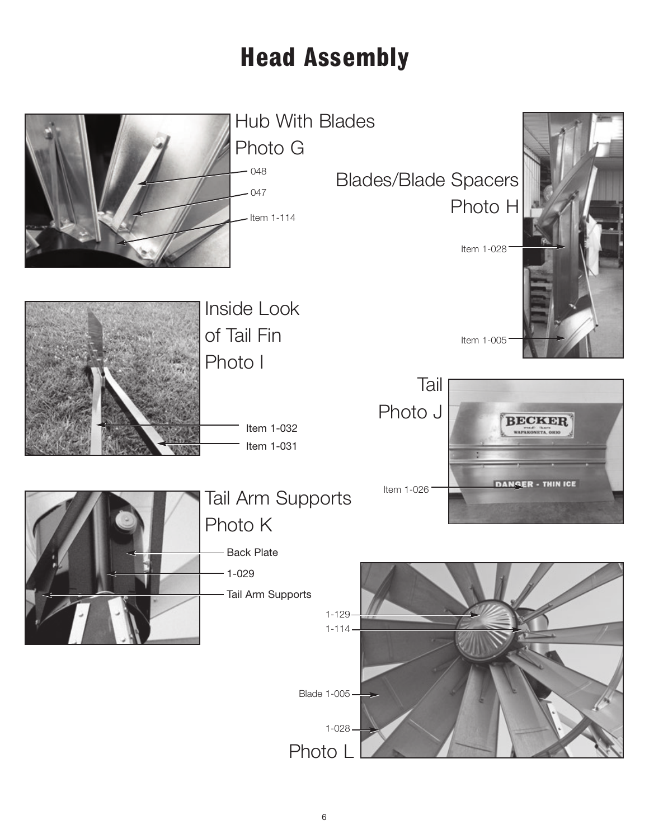# **Head Assembly**

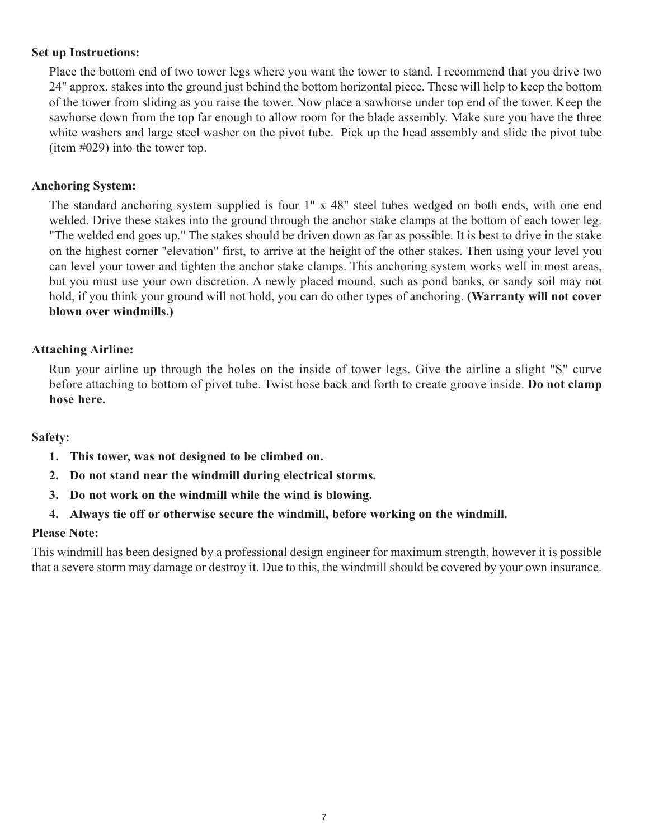#### **Set up Instructions:**

Place the bottom end of two tower legs where you want the tower to stand. I recommend that you drive two 24" approx. stakes into the ground just behind the bottom horizontal piece. These will help to keep the bottom of the tower from sliding as you raise the tower. Now place a sawhorse under top end of the tower. Keep the sawhorse down from the top far enough to allow room for the blade assembly. Make sure you have the three white washers and large steel washer on the pivot tube. Pick up the head assembly and slide the pivot tube (item #029) into the tower top.

#### **Anchoring System:**

The standard anchoring system supplied is four 1" x 48" steel tubes wedged on both ends, with one end welded. Drive these stakes into the ground through the anchor stake clamps at the bottom of each tower leg. "The welded end goes up." The stakes should be driven down as far as possible. It is best to drive in the stake on the highest corner "elevation" first, to arrive at the height of the other stakes. Then using your level you can level your tower and tighten the anchor stake clamps. This anchoring system works well in most areas, but you must use your own discretion. A newly placed mound, such as pond banks, or sandy soil may not hold, if you think your ground will not hold, you can do other types of anchoring. **(Warranty will not cover blown over windmills.)**

#### **Attaching Airline:**

Run your airline up through the holes on the inside of tower legs. Give the airline a slight "S" curve before attaching to bottom of pivot tube. Twist hose back and forth to create groove inside. **Do not clamp hose here.**

#### **Safety:**

- **1. This tower, was not designed to be climbed on.**
- **2. Do not stand near the windmill during electrical storms.**
- **3. Do not work on the windmill while the wind is blowing.**
- **4. Always tie off or otherwise secure the windmill, before working on the windmill.**

#### **Please Note:**

This windmill has been designed by a professional design engineer for maximum strength, however it is possible that a severe storm may damage or destroy it. Due to this, the windmill should be covered by your own insurance.